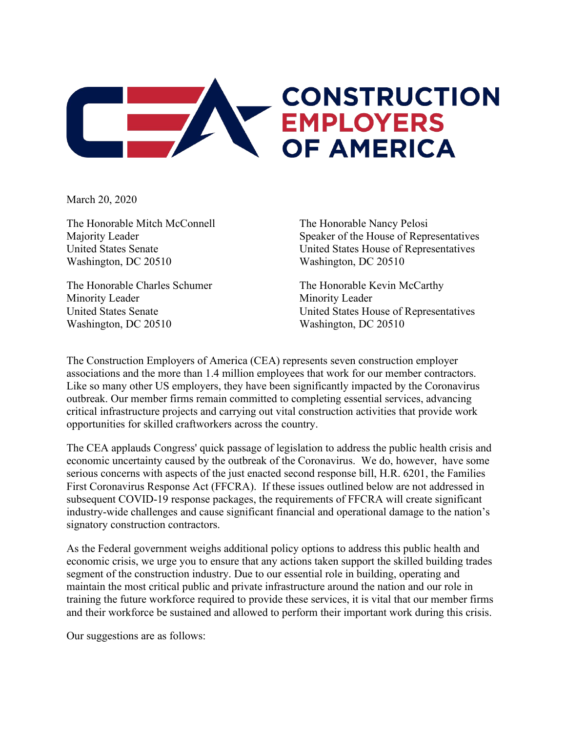

March 20, 2020

The Honorable Mitch McConnell Majority Leader United States Senate Washington, DC 20510

The Honorable Charles Schumer Minority Leader United States Senate Washington, DC 20510

The Honorable Nancy Pelosi Speaker of the House of Representatives United States House of Representatives Washington, DC 20510

The Honorable Kevin McCarthy Minority Leader United States House of Representatives Washington, DC 20510

The Construction Employers of America (CEA) represents seven construction employer associations and the more than 1.4 million employees that work for our member contractors. Like so many other US employers, they have been significantly impacted by the Coronavirus outbreak. Our member firms remain committed to completing essential services, advancing critical infrastructure projects and carrying out vital construction activities that provide work opportunities for skilled craftworkers across the country.

The CEA applauds Congress' quick passage of legislation to address the public health crisis and economic uncertainty caused by the outbreak of the Coronavirus. We do, however, have some serious concerns with aspects of the just enacted second response bill, H.R. 6201, the Families First Coronavirus Response Act (FFCRA). If these issues outlined below are not addressed in subsequent COVID-19 response packages, the requirements of FFCRA will create significant industry-wide challenges and cause significant financial and operational damage to the nation's signatory construction contractors.

As the Federal government weighs additional policy options to address this public health and economic crisis, we urge you to ensure that any actions taken support the skilled building trades segment of the construction industry. Due to our essential role in building, operating and maintain the most critical public and private infrastructure around the nation and our role in training the future workforce required to provide these services, it is vital that our member firms and their workforce be sustained and allowed to perform their important work during this crisis.

Our suggestions are as follows: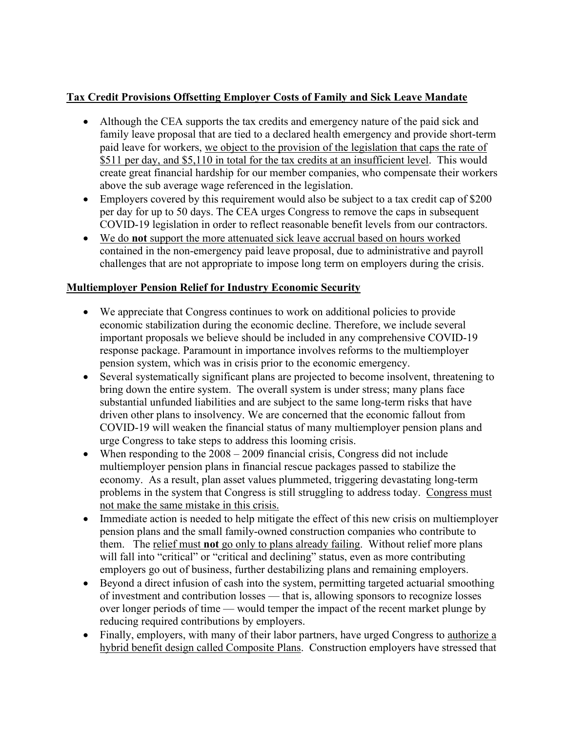# **Tax Credit Provisions Offsetting Employer Costs of Family and Sick Leave Mandate**

- Although the CEA supports the tax credits and emergency nature of the paid sick and family leave proposal that are tied to a declared health emergency and provide short-term paid leave for workers, we object to the provision of the legislation that caps the rate of \$511 per day, and \$5,110 in total for the tax credits at an insufficient level. This would create great financial hardship for our member companies, who compensate their workers above the sub average wage referenced in the legislation.
- Employers covered by this requirement would also be subject to a tax credit cap of \$200 per day for up to 50 days. The CEA urges Congress to remove the caps in subsequent COVID-19 legislation in order to reflect reasonable benefit levels from our contractors.
- We do **not** support the more attenuated sick leave accrual based on hours worked contained in the non-emergency paid leave proposal, due to administrative and payroll challenges that are not appropriate to impose long term on employers during the crisis.

# **Multiemployer Pension Relief for Industry Economic Security**

- We appreciate that Congress continues to work on additional policies to provide economic stabilization during the economic decline. Therefore, we include several important proposals we believe should be included in any comprehensive COVID-19 response package. Paramount in importance involves reforms to the multiemployer pension system, which was in crisis prior to the economic emergency.
- Several systematically significant plans are projected to become insolvent, threatening to bring down the entire system. The overall system is under stress; many plans face substantial unfunded liabilities and are subject to the same long-term risks that have driven other plans to insolvency. We are concerned that the economic fallout from COVID-19 will weaken the financial status of many multiemployer pension plans and urge Congress to take steps to address this looming crisis.
- When responding to the  $2008 2009$  financial crisis, Congress did not include multiemployer pension plans in financial rescue packages passed to stabilize the economy. As a result, plan asset values plummeted, triggering devastating long-term problems in the system that Congress is still struggling to address today. Congress must not make the same mistake in this crisis.
- Immediate action is needed to help mitigate the effect of this new crisis on multiemployer pension plans and the small family-owned construction companies who contribute to them. The relief must **not** go only to plans already failing. Without relief more plans will fall into "critical" or "critical and declining" status, even as more contributing employers go out of business, further destabilizing plans and remaining employers.
- Beyond a direct infusion of cash into the system, permitting targeted actuarial smoothing of investment and contribution losses — that is, allowing sponsors to recognize losses over longer periods of time — would temper the impact of the recent market plunge by reducing required contributions by employers.
- Finally, employers, with many of their labor partners, have urged Congress to authorize a hybrid benefit design called Composite Plans. Construction employers have stressed that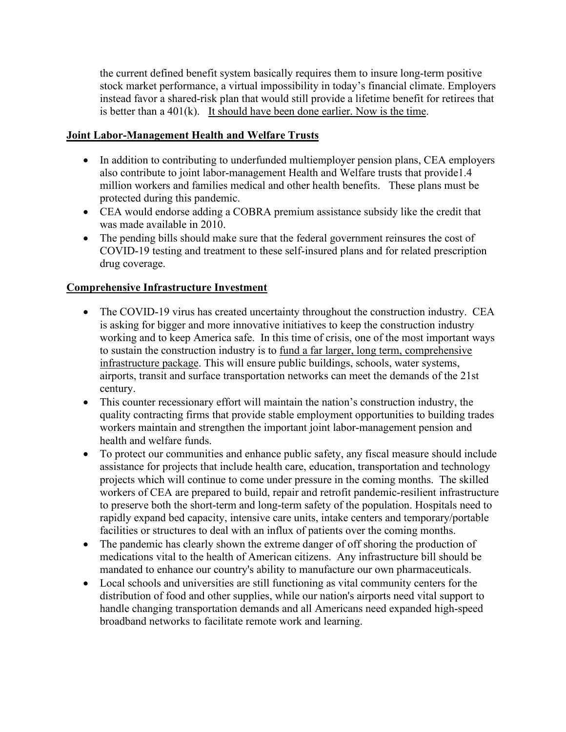the current defined benefit system basically requires them to insure long-term positive stock market performance, a virtual impossibility in today's financial climate. Employers instead favor a shared-risk plan that would still provide a lifetime benefit for retirees that is better than a  $401(k)$ . It should have been done earlier. Now is the time.

#### **Joint Labor-Management Health and Welfare Trusts**

- In addition to contributing to underfunded multiemployer pension plans, CEA employers also contribute to joint labor-management Health and Welfare trusts that provide1.4 million workers and families medical and other health benefits. These plans must be protected during this pandemic.
- CEA would endorse adding a COBRA premium assistance subsidy like the credit that was made available in 2010.
- The pending bills should make sure that the federal government reinsures the cost of COVID-19 testing and treatment to these self-insured plans and for related prescription drug coverage.

### **Comprehensive Infrastructure Investment**

- The COVID-19 virus has created uncertainty throughout the construction industry. CEA is asking for bigger and more innovative initiatives to keep the construction industry working and to keep America safe. In this time of crisis, one of the most important ways to sustain the construction industry is to fund a far larger, long term, comprehensive infrastructure package. This will ensure public buildings, schools, water systems, airports, transit and surface transportation networks can meet the demands of the 21st century.
- This counter recessionary effort will maintain the nation's construction industry, the quality contracting firms that provide stable employment opportunities to building trades workers maintain and strengthen the important joint labor-management pension and health and welfare funds.
- To protect our communities and enhance public safety, any fiscal measure should include assistance for projects that include health care, education, transportation and technology projects which will continue to come under pressure in the coming months. The skilled workers of CEA are prepared to build, repair and retrofit pandemic-resilient infrastructure to preserve both the short-term and long-term safety of the population. Hospitals need to rapidly expand bed capacity, intensive care units, intake centers and temporary/portable facilities or structures to deal with an influx of patients over the coming months.
- The pandemic has clearly shown the extreme danger of off shoring the production of medications vital to the health of American citizens. Any infrastructure bill should be mandated to enhance our country's ability to manufacture our own pharmaceuticals.
- Local schools and universities are still functioning as vital community centers for the distribution of food and other supplies, while our nation's airports need vital support to handle changing transportation demands and all Americans need expanded high-speed broadband networks to facilitate remote work and learning.